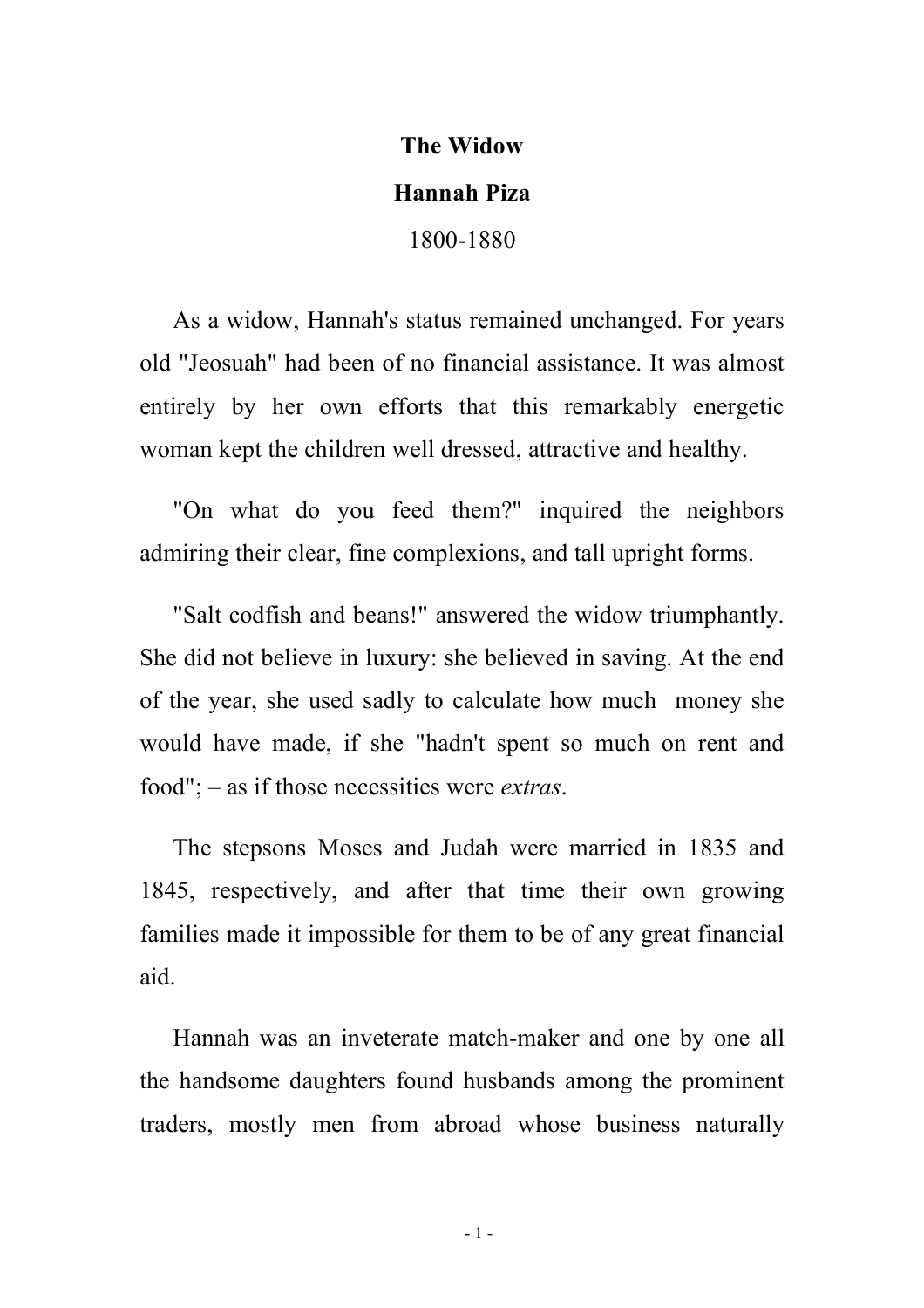## **The Widow**

## **Hannah Piza**

1800-1880

As a widow, Hannah's status remained unchanged. For years old "Jeosuah" had been of no financial assistance. It was almost entirely by her own efforts that this remarkably energetic woman kept the children well dressed, attractive and healthy.

"On what do you feed them?" inquired the neighbors admiring their clear, fine complexions, and tall upright forms.

"Salt codfish and beans!" answered the widow triumphantly. She did not believe in luxury: she believed in saving. At the end of the year, she used sadly to calculate how much money she would have made, if she "hadn't spent so much on rent and food"; – as if those necessities were *extras*.

The stepsons Moses and Judah were married in 1835 and 1845, respectively, and after that time their own growing families made it impossible for them to be of any great financial aid.

Hannah was an inveterate match-maker and one by one all the handsome daughters found husbands among the prominent traders, mostly men from abroad whose business naturally

- 1 -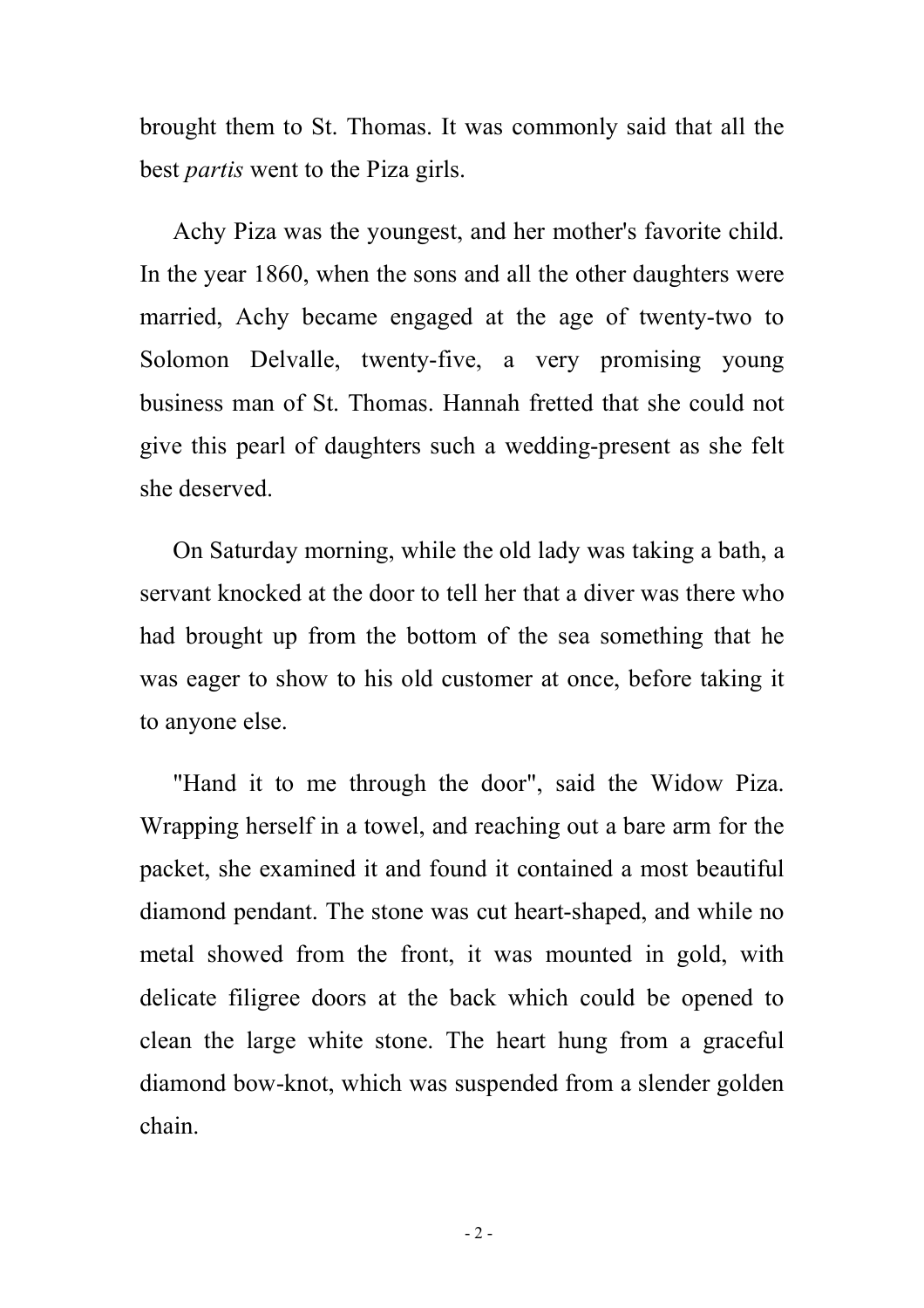brought them to St. Thomas. It was commonly said that all the best *partis* went to the Piza girls.

Achy Piza was the youngest, and her mother's favorite child. In the year 1860, when the sons and all the other daughters were married, Achy became engaged at the age of twenty-two to Solomon Delvalle, twenty-five, a very promising young business man of St. Thomas. Hannah fretted that she could not give this pearl of daughters such a wedding-present as she felt she deserved.

On Saturday morning, while the old lady was taking a bath, a servant knocked at the door to tell her that a diver was there who had brought up from the bottom of the sea something that he was eager to show to his old customer at once, before taking it to anyone else.

"Hand it to me through the door", said the Widow Piza. Wrapping herself in a towel, and reaching out a bare arm for the packet, she examined it and found it contained a most beautiful diamond pendant. The stone was cut heart-shaped, and while no metal showed from the front, it was mounted in gold, with delicate filigree doors at the back which could be opened to clean the large white stone. The heart hung from a graceful diamond bow-knot, which was suspended from a slender golden chain.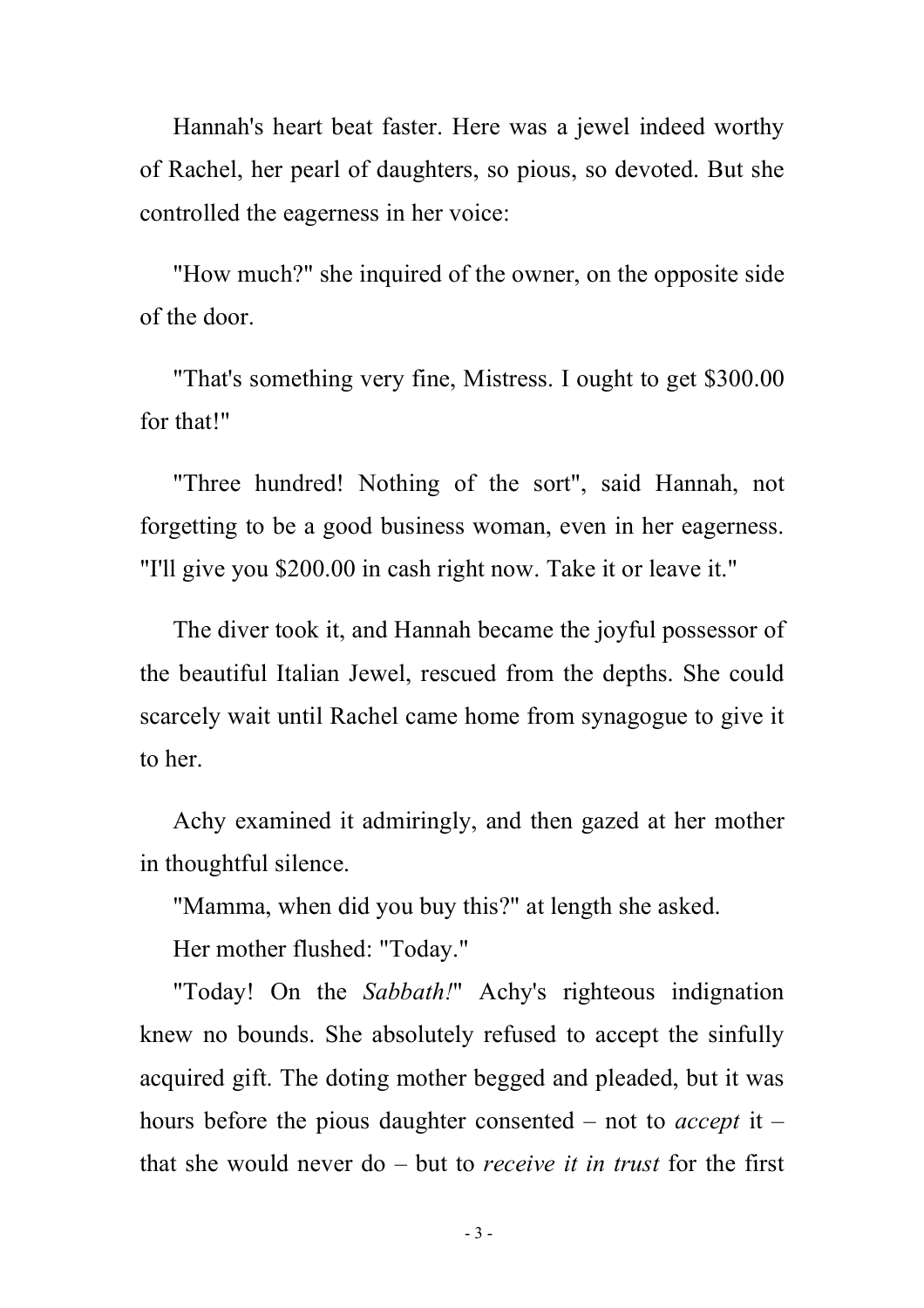Hannah's heart beat faster. Here was a jewel indeed worthy of Rachel, her pearl of daughters, so pious, so devoted. But she controlled the eagerness in her voice:

"How much?" she inquired of the owner, on the opposite side of the door.

"That's something very fine, Mistress. I ought to get \$300.00 for that!"

"Three hundred! Nothing of the sort", said Hannah, not forgetting to be a good business woman, even in her eagerness. "I'll give you \$200.00 in cash right now. Take it or leave it."

The diver took it, and Hannah became the joyful possessor of the beautiful Italian Jewel, rescued from the depths. She could scarcely wait until Rachel came home from synagogue to give it to her.

Achy examined it admiringly, and then gazed at her mother in thoughtful silence.

"Mamma, when did you buy this?" at length she asked.

Her mother flushed: "Today."

"Today! On the *Sabbath!*" Achy's righteous indignation knew no bounds. She absolutely refused to accept the sinfully acquired gift. The doting mother begged and pleaded, but it was hours before the pious daughter consented – not to *accept* it – that she would never do – but to *receive it in trust* for the first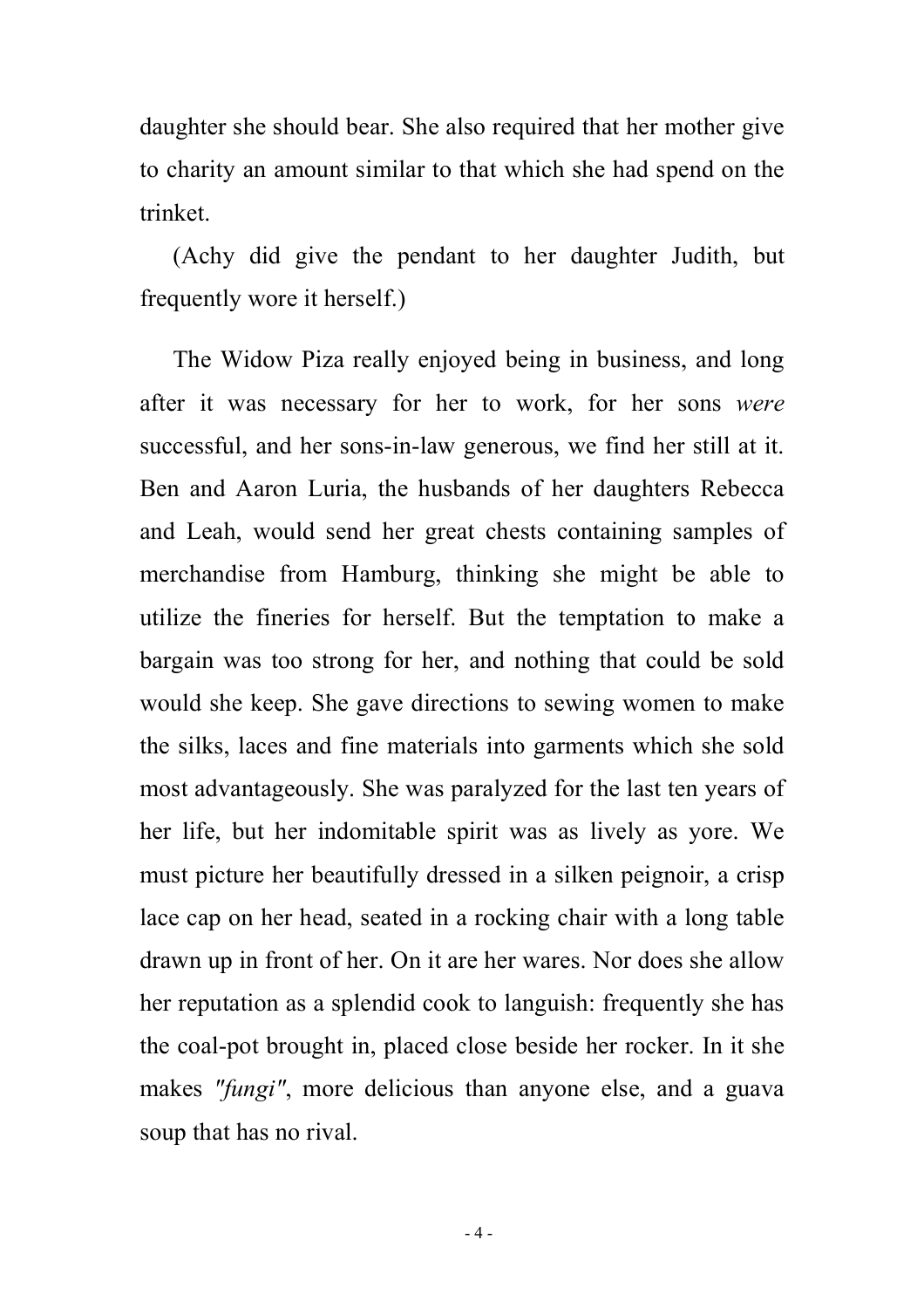daughter she should bear. She also required that her mother give to charity an amount similar to that which she had spend on the trinket.

(Achy did give the pendant to her daughter Judith, but frequently wore it herself.)

The Widow Piza really enjoyed being in business, and long after it was necessary for her to work, for her sons *were* successful, and her sons-in-law generous, we find her still at it. Ben and Aaron Luria, the husbands of her daughters Rebecca and Leah, would send her great chests containing samples of merchandise from Hamburg, thinking she might be able to utilize the fineries for herself. But the temptation to make a bargain was too strong for her, and nothing that could be sold would she keep. She gave directions to sewing women to make the silks, laces and fine materials into garments which she sold most advantageously. She was paralyzed for the last ten years of her life, but her indomitable spirit was as lively as yore. We must picture her beautifully dressed in a silken peignoir, a crisp lace cap on her head, seated in a rocking chair with a long table drawn up in front of her. On it are her wares. Nor does she allow her reputation as a splendid cook to languish: frequently she has the coal-pot brought in, placed close beside her rocker. In it she makes *"fungi"*, more delicious than anyone else, and a guava soup that has no rival.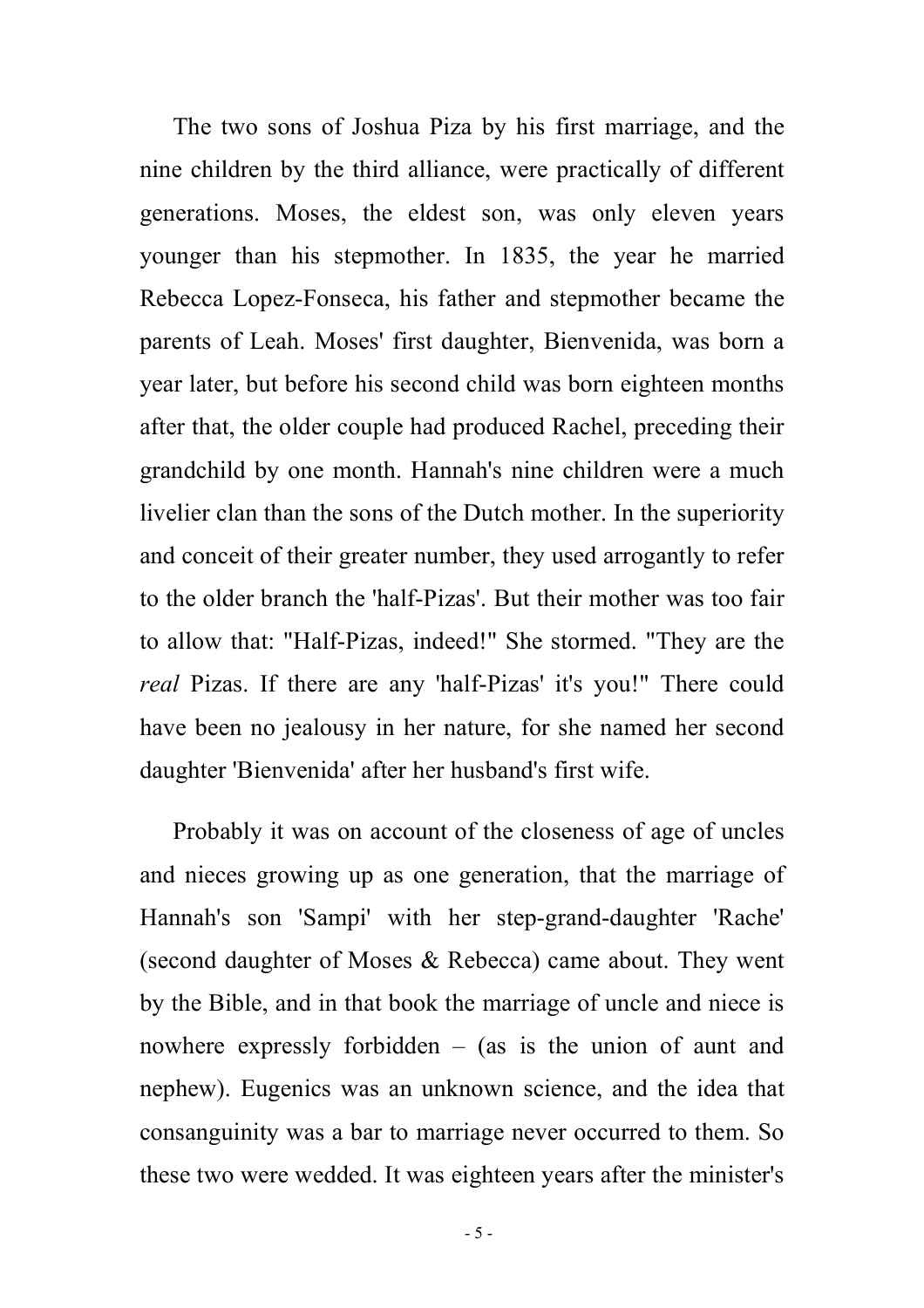The two sons of Joshua Piza by his first marriage, and the nine children by the third alliance, were practically of different generations. Moses, the eldest son, was only eleven years younger than his stepmother. In 1835, the year he married Rebecca Lopez-Fonseca, his father and stepmother became the parents of Leah. Moses' first daughter, Bienvenida, was born a year later, but before his second child was born eighteen months after that, the older couple had produced Rachel, preceding their grandchild by one month. Hannah's nine children were a much livelier clan than the sons of the Dutch mother. In the superiority and conceit of their greater number, they used arrogantly to refer to the older branch the 'half-Pizas'. But their mother was too fair to allow that: "Half-Pizas, indeed!" She stormed. "They are the *real* Pizas. If there are any 'half-Pizas' it's you!" There could have been no jealousy in her nature, for she named her second daughter 'Bienvenida' after her husband's first wife.

Probably it was on account of the closeness of age of uncles and nieces growing up as one generation, that the marriage of Hannah's son 'Sampi' with her step-grand-daughter 'Rache' (second daughter of Moses & Rebecca) came about. They went by the Bible, and in that book the marriage of uncle and niece is nowhere expressly forbidden – (as is the union of aunt and nephew). Eugenics was an unknown science, and the idea that consanguinity was a bar to marriage never occurred to them. So these two were wedded. It was eighteen years after the minister's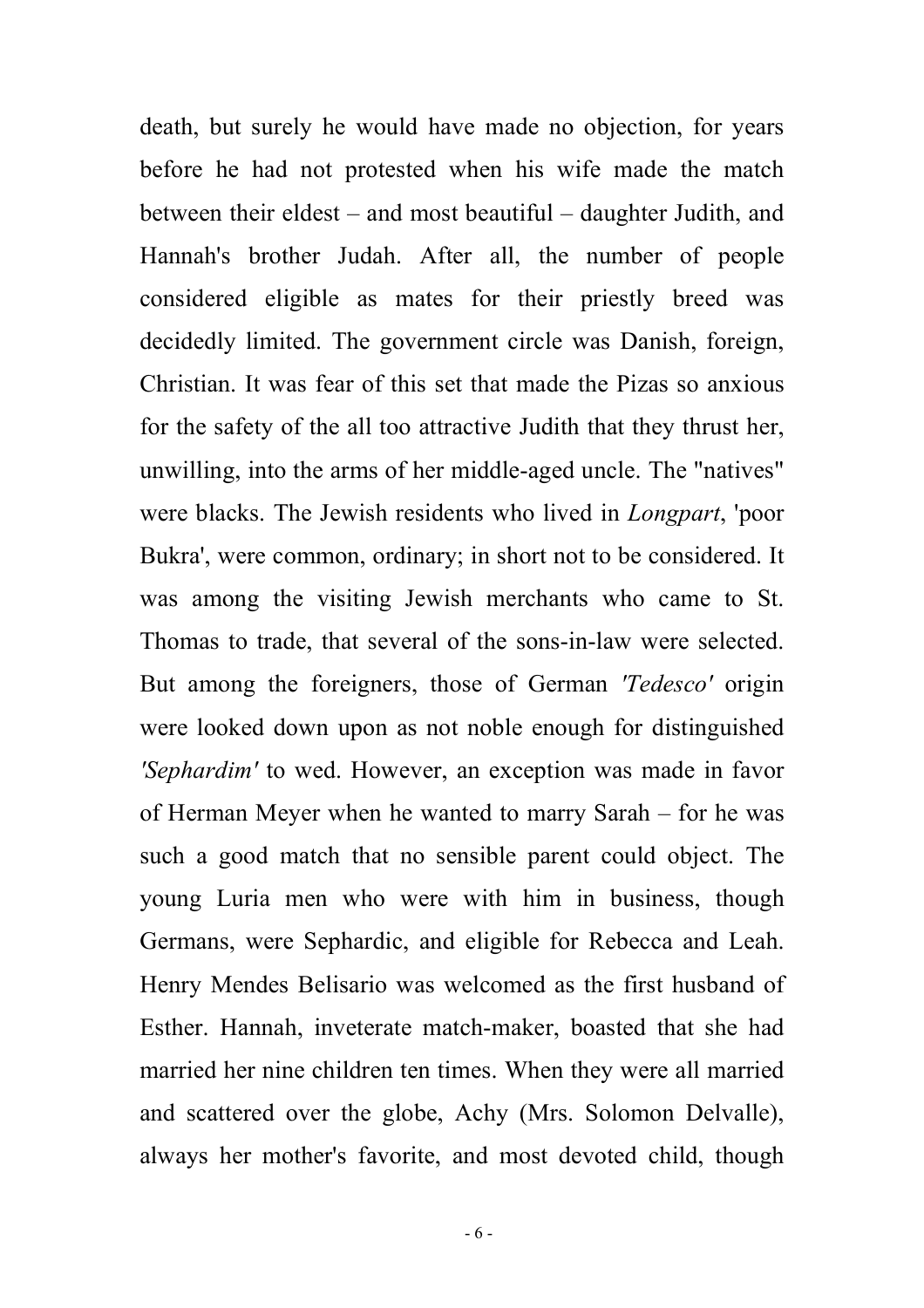death, but surely he would have made no objection, for years before he had not protested when his wife made the match between their eldest – and most beautiful – daughter Judith, and Hannah's brother Judah. After all, the number of people considered eligible as mates for their priestly breed was decidedly limited. The government circle was Danish, foreign, Christian. It was fear of this set that made the Pizas so anxious for the safety of the all too attractive Judith that they thrust her, unwilling, into the arms of her middle-aged uncle. The "natives" were blacks. The Jewish residents who lived in *Longpart*, 'poor Bukra', were common, ordinary; in short not to be considered. It was among the visiting Jewish merchants who came to St. Thomas to trade, that several of the sons-in-law were selected. But among the foreigners, those of German *'Tedesco'* origin were looked down upon as not noble enough for distinguished *'Sephardim'* to wed. However, an exception was made in favor of Herman Meyer when he wanted to marry Sarah – for he was such a good match that no sensible parent could object. The young Luria men who were with him in business, though Germans, were Sephardic, and eligible for Rebecca and Leah. Henry Mendes Belisario was welcomed as the first husband of Esther. Hannah, inveterate match-maker, boasted that she had married her nine children ten times. When they were all married and scattered over the globe, Achy (Mrs. Solomon Delvalle), always her mother's favorite, and most devoted child, though